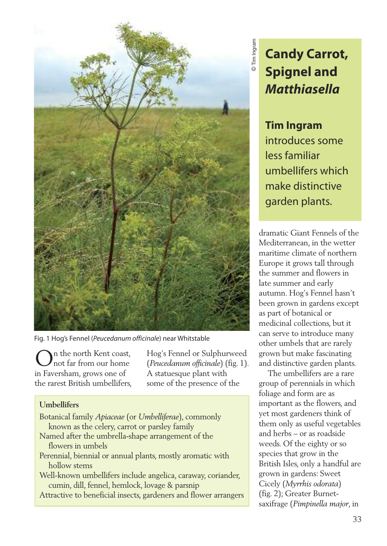

Fig. 1 Hog's Fennel (*Peucedanum officinale*) near Whitstable

n the north Kent coast, not far from our home in Faversham, grows one of the rarest British umbellifers,

Hog's Fennel or Sulphurweed (*Peucedanum officinale*) (fig. 1). A statuesque plant with some of the presence of the

## **Umbellifers**

- Botanical family *Apiaceae* (or *Umbelliferae*), commonly known as the celery, carrot or parsley family
- Named after the umbrella-shape arrangement of the flowers in umbels
- Perennial, biennial or annual plants, mostly aromatic with hollow stems
- Well-known umbellifers include angelica, caraway, coriander, cumin, dill, fennel, hemlock, lovage & parsnip
- Attractive to beneficial insects, gardeners and flower arrangers

**Candy Carrot, Spignel and** *Matthiasella*

## **Tim Ingram**

introduces some less familiar umbellifers which make distinctive garden plants.

dramatic Giant Fennels of the Mediterranean, in the wetter maritime climate of northern Europe it grows tall through the summer and flowers in late summer and early autumn. Hog's Fennel hasn't been grown in gardens except as part of botanical or medicinal collections, but it can serve to introduce many other umbels that are rarely grown but make fascinating and distinctive garden plants.

The umbellifers are a rare group of perennials in which foliage and form are as important as the flowers, and yet most gardeners think of them only as useful vegetables and herbs – or as roadside weeds. Of the eighty or so species that grow in the British Isles, only a handful are grown in gardens: Sweet Cicely (*Myrrhis odorata*) (fig. 2); Greater Burnetsaxifrage (*Pimpinella major*, in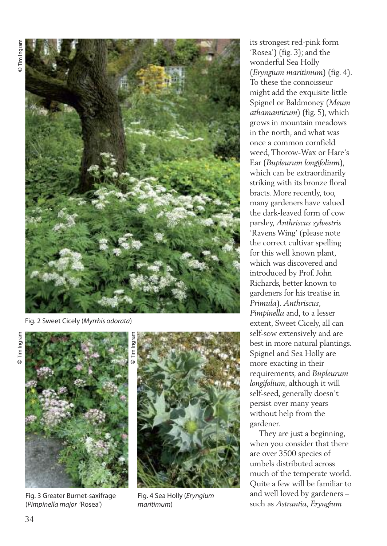

Fig. 2 Sweet Cicely (*Myrrhis odorata*)



Fig. 3 Greater Burnet-saxifrage (*Pimpinella major* 'Rosea')



Fig. 4 Sea Holly (*Eryngium maritimum*)

its strongest red-pink form 'Rosea') (fig. 3); and the wonderful Sea Holly (*Eryngium maritimum*) (fig. 4). To these the connoisseur might add the exquisite little Spignel or Baldmoney (*Meum athamanticum*) (fig. 5), which grows in mountain meadows in the north, and what was once a common cornfield weed,Thorow-Wax or Hare's Ear (*Bupleurum longifolium*), which can be extraordinarily striking with its bronze floral bracts. More recently, too, many gardeners have valued the dark-leaved form of cow parsley, *Anthriscus sylvestris* 'Ravens Wing' (please note the correct cultivar spelling for this well known plant, which was discovered and introduced by Prof. John Richards, better known to gardeners for his treatise in *Primula*). *Anthriscus*, *Pimpinella* and, to a lesser extent, Sweet Cicely, all can self-sow extensively and are best in more natural plantings. Spignel and Sea Holly are more exacting in their requirements, and *Bupleurum longifolium*, although it will self-seed, generally doesn't persist over many years without help from the gardener.

They are just a beginning, when you consider that there are over 3500 species of umbels distributed across much of the temperate world. Quite a few will be familiar to and well loved by gardeners – such as *Astrantia, Eryngium*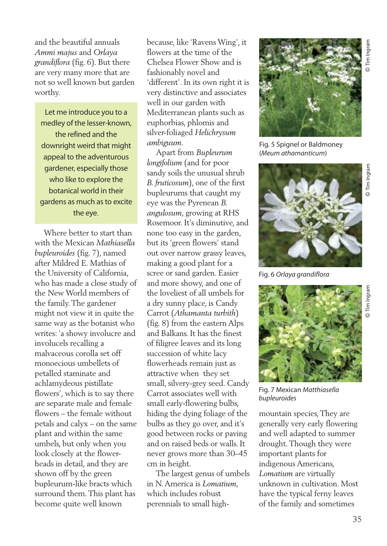and the beautiful annuals *Ammi majus* and *Orlaya grandiflora* (fig. 6). But there are very many more that are not so well known but garden worthy.

Let me introduce you to a medley of the lesser-known, the refined and the downright weird that might appeal to the adventurous gardener, especially those who like to explore the botanical world in their gardens as much as to excite the eye.

Where better to start than with the Mexican *Mathiasella bupleuroides* (fig. 7), named after Mildred E. Mathias of the University of California, who has made a close study of the New World members of the family.The gardener might not view it in quite the same way as the botanist who writes: 'a showy involucre and involucels recalling a malvaceous corolla set off monoecious umbellets of petalled staminate and achlamydeous pistillate flowers', which is to say there are separate male and female flowers – the female without petals and calyx – on the same plant and within the same umbels, but only when you look closely at the flowerheads in detail, and they are shown off by the green bupleurum-like bracts which surround them.This plant has become quite well known

because, like 'Ravens Wing', it flowers at the time of the Chelsea Flower Show and is fashionably novel and 'different'. In its own right it is very distinctive and associates well in our garden with Mediterranean plants such as euphorbias, phlomis and silver-foliaged *Helichrysum ambiguum.*

Apart from *Bupleurum longifolium* (and for poor sandy soils the unusual shrub *B. fruticosum*), one of the first bupleurums that caught my eye was the Pyrenean *B. angulosum*, growing at RHS Rosemoor. It's diminutive, and none too easy in the garden, but its 'green flowers' stand out over narrow grassy leaves, making a good plant for a scree or sand garden. Easier and more showy, and one of the loveliest of all umbels for a dry sunny place, is Candy Carrot (*Athamanta turbith*) (fig. 8) from the eastern Alps and Balkans. It has the finest of filigree leaves and its long succession of white lacy flowerheads remain just as attractive when they set small, silvery-grey seed. Candy Carrot associates well with small early-flowering bulbs, hiding the dying foliage of the bulbs as they go over, and it's good between rocks or paving and on raised beds or walls. It never grows more than 30–45 cm in height.

The largest genus of umbels in N.America is *Lomatium*, which includes robust perennials to small high-



Fig. 5 Spignel or Baldmoney (*Meum athamanticum*)



Fig. 6 *Orlaya grandiflora*



Fig. 7 Mexican *Matthiasella bupleuroides*

mountain species,They are generally very early flowering and well adapted to summer drought.Though they were important plants for indigenous Americans, *Lomatium* are virtually unknown in cultivation. Most have the typical ferny leaves of the family and sometimes

©Tim Ingram

lim Ingran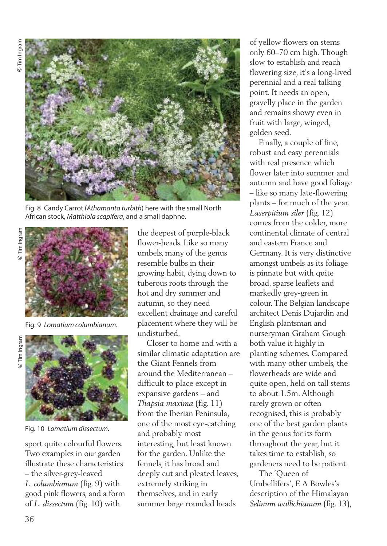

Fig. 8 Candy Carrot (*Athamanta turbith*) here with the small North African stock, *Matthiola scapifera*, and a small daphne.



Fig. 9 *Lomatium columbianum.*



Fig. 10 *Lomatium dissectum.*

sport quite colourful flowers. Two examples in our garden illustrate these characteristics – the silver-grey-leaved *L. columbianum* (fig. 9) with good pink flowers, and a form of *L. dissectum* (fig. 10) with

the deepest of purple-black flower-heads. Like so many umbels, many of the genus resemble bulbs in their growing habit, dying down to tuberous roots through the hot and dry summer and autumn, so they need excellent drainage and careful placement where they will be undisturbed.

Closer to home and with a similar climatic adaptation are the Giant Fennels from around the Mediterranean – difficult to place except in expansive gardens – and *Thapsia maxima* (fig. 11) from the Iberian Peninsula, one of the most eye-catching and probably most interesting, but least known for the garden. Unlike the fennels, it has broad and deeply cut and pleated leaves, extremely striking in themselves, and in early summer large rounded heads

of yellow flowers on stems only 60–70 cm high.Though slow to establish and reach flowering size, it's a long-lived perennial and a real talking point. It needs an open, gravelly place in the garden and remains showy even in fruit with large, winged, golden seed.

Finally, a couple of fine, robust and easy perennials with real presence which flower later into summer and autumn and have good foliage – like so many late-flowering plants – for much of the year. *Laserpitium siler* (fig. 12) comes from the colder, more continental climate of central and eastern France and Germany. It is very distinctive amongst umbels as its foliage is pinnate but with quite broad, sparse leaflets and markedly grey-green in colour.The Belgian landscape architect Denis Dujardin and English plantsman and nurseryman Graham Gough both value it highly in planting schemes. Compared with many other umbels, the flowerheads are wide and quite open, held on tall stems to about 1.5m.Although rarely grown or often recognised, this is probably one of the best garden plants in the genus for its form throughout the year, but it takes time to establish, so gardeners need to be patient.

The 'Queen of Umbellifers', E A Bowles's description of the Himalayan *Selinum wallichianum* (fig. 13),